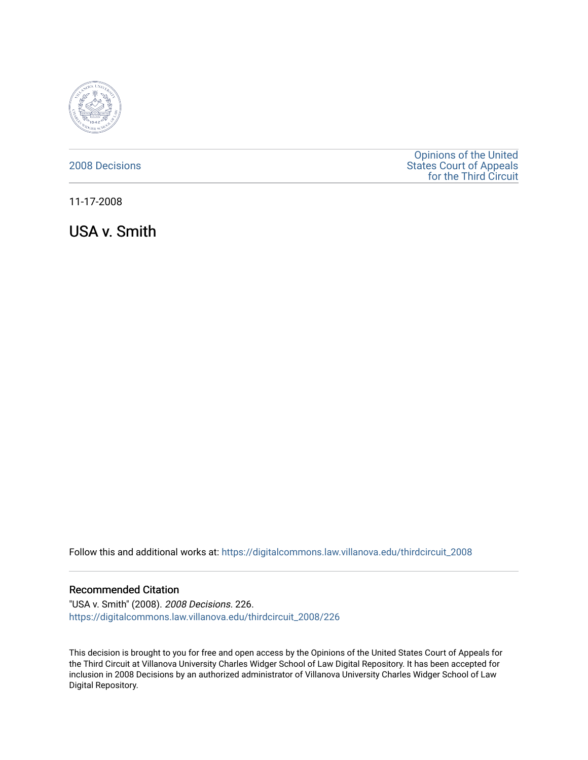

## [2008 Decisions](https://digitalcommons.law.villanova.edu/thirdcircuit_2008)

[Opinions of the United](https://digitalcommons.law.villanova.edu/thirdcircuit)  [States Court of Appeals](https://digitalcommons.law.villanova.edu/thirdcircuit)  [for the Third Circuit](https://digitalcommons.law.villanova.edu/thirdcircuit) 

11-17-2008

USA v. Smith

Follow this and additional works at: [https://digitalcommons.law.villanova.edu/thirdcircuit\\_2008](https://digitalcommons.law.villanova.edu/thirdcircuit_2008?utm_source=digitalcommons.law.villanova.edu%2Fthirdcircuit_2008%2F226&utm_medium=PDF&utm_campaign=PDFCoverPages) 

### Recommended Citation

"USA v. Smith" (2008). 2008 Decisions. 226. [https://digitalcommons.law.villanova.edu/thirdcircuit\\_2008/226](https://digitalcommons.law.villanova.edu/thirdcircuit_2008/226?utm_source=digitalcommons.law.villanova.edu%2Fthirdcircuit_2008%2F226&utm_medium=PDF&utm_campaign=PDFCoverPages)

This decision is brought to you for free and open access by the Opinions of the United States Court of Appeals for the Third Circuit at Villanova University Charles Widger School of Law Digital Repository. It has been accepted for inclusion in 2008 Decisions by an authorized administrator of Villanova University Charles Widger School of Law Digital Repository.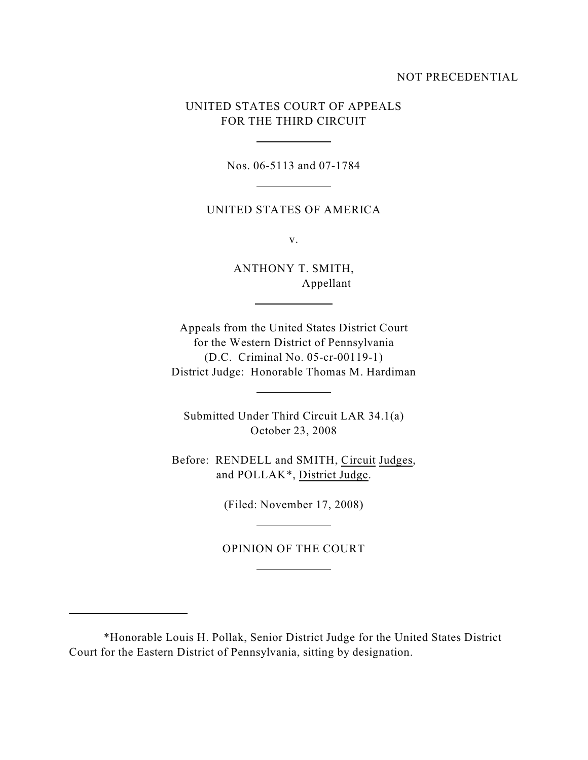### NOT PRECEDENTIAL

# UNITED STATES COURT OF APPEALS FOR THE THIRD CIRCUIT

 $\overline{a}$ 

l

l

l

 $\overline{a}$ 

l

l

Nos. 06-5113 and 07-1784

UNITED STATES OF AMERICA

v.

ANTHONY T. SMITH, Appellant

Appeals from the United States District Court for the Western District of Pennsylvania (D.C. Criminal No. 05-cr-00119-1) District Judge: Honorable Thomas M. Hardiman

Submitted Under Third Circuit LAR 34.1(a) October 23, 2008

Before: RENDELL and SMITH, Circuit Judges, and POLLAK\*, District Judge.

(Filed: November 17, 2008)

OPINION OF THE COURT

<sup>\*</sup>Honorable Louis H. Pollak, Senior District Judge for the United States District Court for the Eastern District of Pennsylvania, sitting by designation.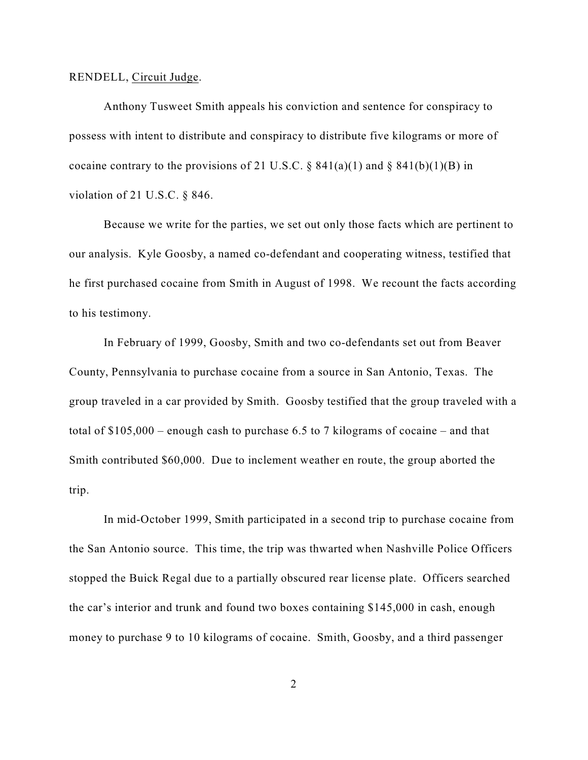#### RENDELL, Circuit Judge.

Anthony Tusweet Smith appeals his conviction and sentence for conspiracy to possess with intent to distribute and conspiracy to distribute five kilograms or more of cocaine contrary to the provisions of 21 U.S.C.  $\S 841(a)(1)$  and  $\S 841(b)(1)(B)$  in violation of 21 U.S.C. § 846.

Because we write for the parties, we set out only those facts which are pertinent to our analysis. Kyle Goosby, a named co-defendant and cooperating witness, testified that he first purchased cocaine from Smith in August of 1998. We recount the facts according to his testimony.

In February of 1999, Goosby, Smith and two co-defendants set out from Beaver County, Pennsylvania to purchase cocaine from a source in San Antonio, Texas. The group traveled in a car provided by Smith. Goosby testified that the group traveled with a total of \$105,000 – enough cash to purchase 6.5 to 7 kilograms of cocaine – and that Smith contributed \$60,000. Due to inclement weather en route, the group aborted the trip.

In mid-October 1999, Smith participated in a second trip to purchase cocaine from the San Antonio source. This time, the trip was thwarted when Nashville Police Officers stopped the Buick Regal due to a partially obscured rear license plate. Officers searched the car's interior and trunk and found two boxes containing \$145,000 in cash, enough money to purchase 9 to 10 kilograms of cocaine. Smith, Goosby, and a third passenger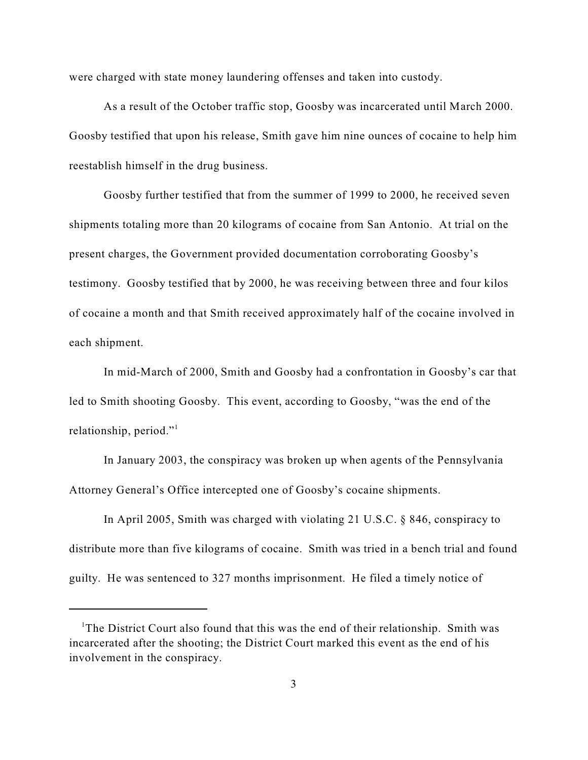were charged with state money laundering offenses and taken into custody.

As a result of the October traffic stop, Goosby was incarcerated until March 2000. Goosby testified that upon his release, Smith gave him nine ounces of cocaine to help him reestablish himself in the drug business.

Goosby further testified that from the summer of 1999 to 2000, he received seven shipments totaling more than 20 kilograms of cocaine from San Antonio. At trial on the present charges, the Government provided documentation corroborating Goosby's testimony. Goosby testified that by 2000, he was receiving between three and four kilos of cocaine a month and that Smith received approximately half of the cocaine involved in each shipment.

In mid-March of 2000, Smith and Goosby had a confrontation in Goosby's car that led to Smith shooting Goosby. This event, according to Goosby, "was the end of the relationship, period."<sup>1</sup>

In January 2003, the conspiracy was broken up when agents of the Pennsylvania Attorney General's Office intercepted one of Goosby's cocaine shipments.

In April 2005, Smith was charged with violating 21 U.S.C. § 846, conspiracy to distribute more than five kilograms of cocaine. Smith was tried in a bench trial and found guilty. He was sentenced to 327 months imprisonment. He filed a timely notice of

<sup>&</sup>lt;sup>1</sup>The District Court also found that this was the end of their relationship. Smith was incarcerated after the shooting; the District Court marked this event as the end of his involvement in the conspiracy.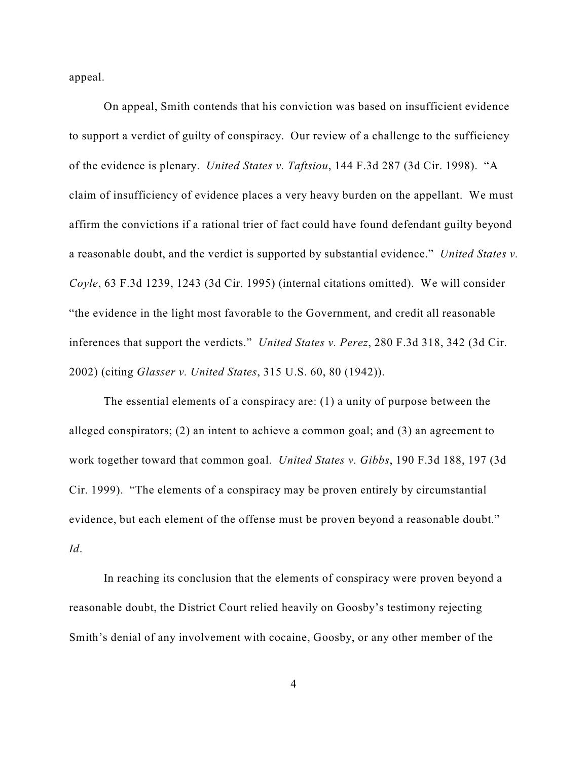appeal.

On appeal, Smith contends that his conviction was based on insufficient evidence to support a verdict of guilty of conspiracy. Our review of a challenge to the sufficiency of the evidence is plenary. *United States v. Taftsiou*, 144 F.3d 287 (3d Cir. 1998). "A claim of insufficiency of evidence places a very heavy burden on the appellant. We must affirm the convictions if a rational trier of fact could have found defendant guilty beyond a reasonable doubt, and the verdict is supported by substantial evidence." *United States v. Coyle*, 63 F.3d 1239, 1243 (3d Cir. 1995) (internal citations omitted). We will consider "the evidence in the light most favorable to the Government, and credit all reasonable inferences that support the verdicts." *United States v. Perez*, 280 F.3d 318, 342 (3d Cir. 2002) (citing *Glasser v. United States*, 315 U.S. 60, 80 (1942)).

The essential elements of a conspiracy are: (1) a unity of purpose between the alleged conspirators; (2) an intent to achieve a common goal; and (3) an agreement to work together toward that common goal. *United States v. Gibbs*, 190 F.3d 188, 197 (3d Cir. 1999). "The elements of a conspiracy may be proven entirely by circumstantial evidence, but each element of the offense must be proven beyond a reasonable doubt." *Id*.

In reaching its conclusion that the elements of conspiracy were proven beyond a reasonable doubt, the District Court relied heavily on Goosby's testimony rejecting Smith's denial of any involvement with cocaine, Goosby, or any other member of the

4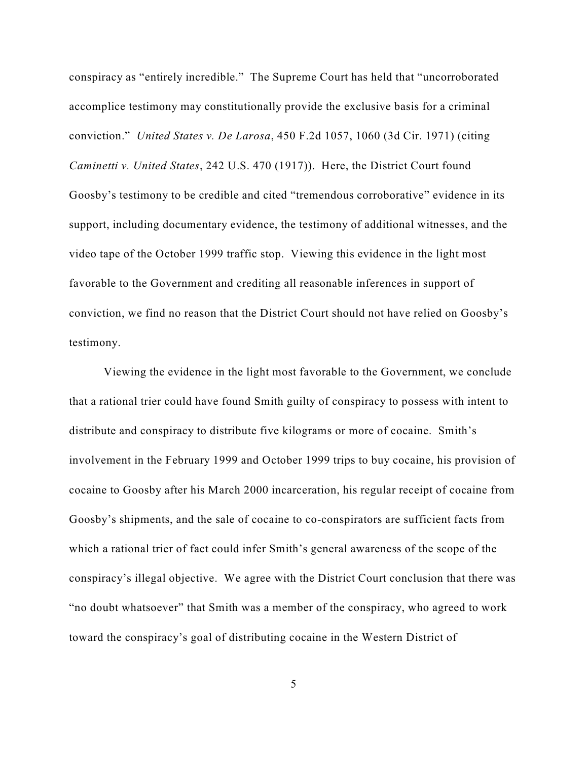conspiracy as "entirely incredible." The Supreme Court has held that "uncorroborated accomplice testimony may constitutionally provide the exclusive basis for a criminal conviction." *United States v. De Larosa*, 450 F.2d 1057, 1060 (3d Cir. 1971) (citing *Caminetti v. United States*, 242 U.S. 470 (1917)). Here, the District Court found Goosby's testimony to be credible and cited "tremendous corroborative" evidence in its support, including documentary evidence, the testimony of additional witnesses, and the video tape of the October 1999 traffic stop. Viewing this evidence in the light most favorable to the Government and crediting all reasonable inferences in support of conviction, we find no reason that the District Court should not have relied on Goosby's testimony.

Viewing the evidence in the light most favorable to the Government, we conclude that a rational trier could have found Smith guilty of conspiracy to possess with intent to distribute and conspiracy to distribute five kilograms or more of cocaine. Smith's involvement in the February 1999 and October 1999 trips to buy cocaine, his provision of cocaine to Goosby after his March 2000 incarceration, his regular receipt of cocaine from Goosby's shipments, and the sale of cocaine to co-conspirators are sufficient facts from which a rational trier of fact could infer Smith's general awareness of the scope of the conspiracy's illegal objective. We agree with the District Court conclusion that there was "no doubt whatsoever" that Smith was a member of the conspiracy, who agreed to work toward the conspiracy's goal of distributing cocaine in the Western District of